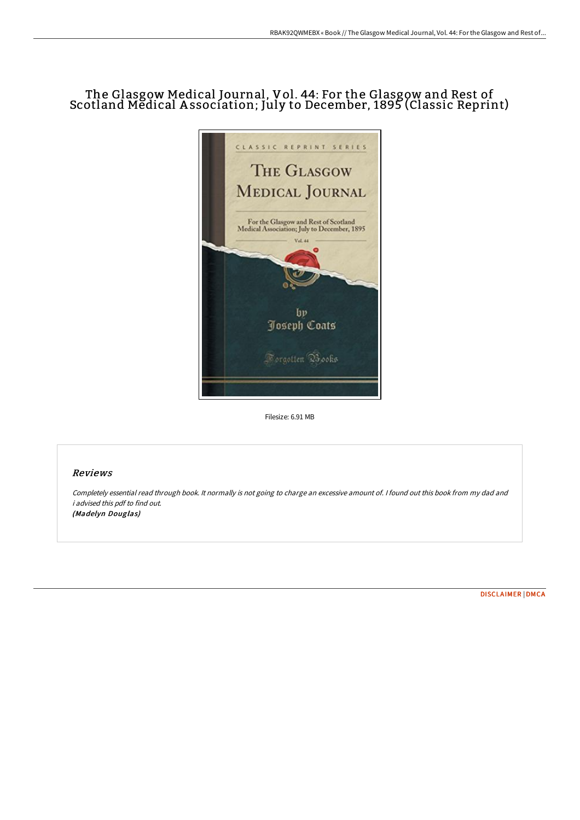## The Glasgow Medical Journal, Vol. 44: For the Glasgow and Rest of Scotland Medical A ssociation; July to December, 1895 (Classic Reprint)



Filesize: 6.91 MB

## Reviews

Completely essential read through book. It normally is not going to charge an excessive amount of. <sup>I</sup> found out this book from my dad and i advised this pdf to find out. (Madelyn Douglas)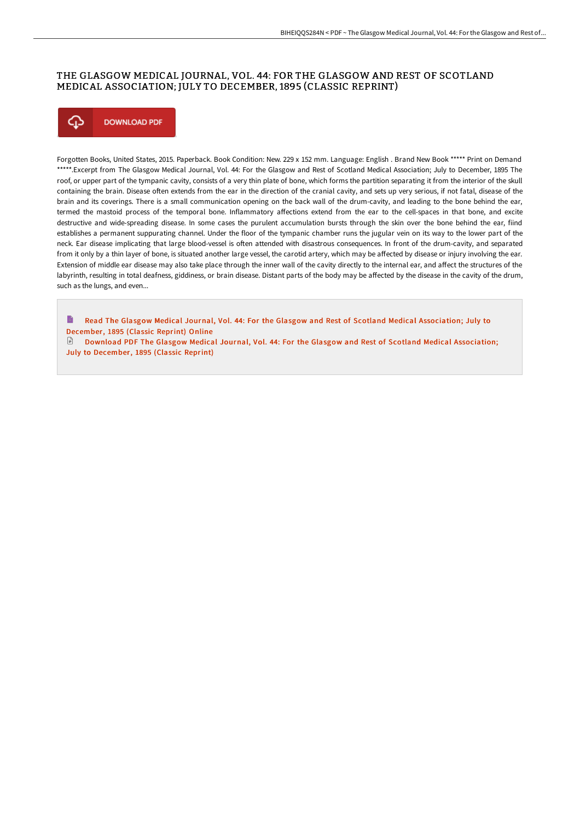## THE GLASGOW MEDICAL JOURNAL, VOL. 44: FOR THE GLASGOW AND REST OF SCOTLAND MEDICAL ASSOCIATION; JULY TO DECEMBER, 1895 (CLASSIC REPRINT)



Forgotten Books, United States, 2015. Paperback. Book Condition: New. 229 x 152 mm. Language: English . Brand New Book \*\*\*\*\* Print on Demand \*\*\*\*\*.Excerpt from The Glasgow Medical Journal, Vol. 44: For the Glasgow and Rest of Scotland Medical Association; July to December, 1895 The roof, or upper part of the tympanic cavity, consists of a very thin plate of bone, which forms the partition separating it from the interior of the skull containing the brain. Disease often extends from the ear in the direction of the cranial cavity, and sets up very serious, if not fatal, disease of the brain and its coverings. There is a small communication opening on the back wall of the drum-cavity, and leading to the bone behind the ear, termed the mastoid process of the temporal bone. Inflammatory affections extend from the ear to the cell-spaces in that bone, and excite destructive and wide-spreading disease. In some cases the purulent accumulation bursts through the skin over the bone behind the ear, fiind establishes a permanent suppurating channel. Under the floor of the tympanic chamber runs the jugular vein on its way to the lower part of the neck. Ear disease implicating that large blood-vessel is often attended with disastrous consequences. In front of the drum-cavity, and separated from it only by a thin layer of bone, is situated another large vessel, the carotid artery, which may be affected by disease or injury involving the ear. Extension of middle ear disease may also take place through the inner wall of the cavity directly to the internal ear, and affect the structures of the labyrinth, resulting in total deafness, giddiness, or brain disease. Distant parts of the body may be affected by the disease in the cavity of the drum, such as the lungs, and even...

B Read The Glasgow Medical Journal, Vol. 44: For the Glasgow and Rest of Scotland Medical [Association;](http://albedo.media/the-glasgow-medical-journal-vol-44-for-the-glasg.html) July to December, 1895 (Classic Reprint) Online

Download PDF The Glasgow Medical Journal, Vol. 44: For the Glasgow and Rest of Scotland Medical [Association;](http://albedo.media/the-glasgow-medical-journal-vol-44-for-the-glasg.html) July to December, 1895 (Classic Reprint)